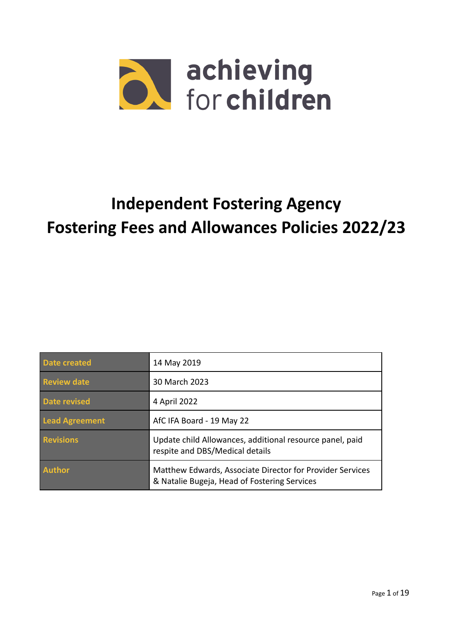

# **Independent Fostering Agency Fostering Fees and Allowances Policies 2022/23**

| Date created       | 14 May 2019                                                                                               |
|--------------------|-----------------------------------------------------------------------------------------------------------|
| <b>Review date</b> | 30 March 2023                                                                                             |
| Date revised       | 4 April 2022                                                                                              |
| Lead Agreement     | AfC IFA Board - 19 May 22                                                                                 |
| <b>Revisions</b>   | Update child Allowances, additional resource panel, paid<br>respite and DBS/Medical details               |
| <b>Author</b>      | Matthew Edwards, Associate Director for Provider Services<br>& Natalie Bugeja, Head of Fostering Services |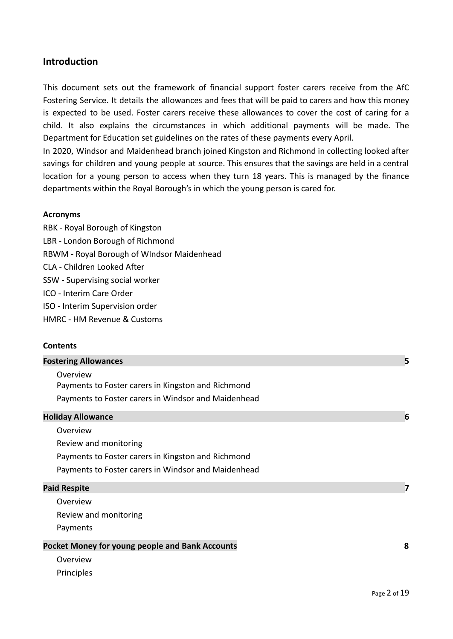## **Introduction**

This document sets out the framework of financial support foster carers receive from the AfC Fostering Service. It details the allowances and fees that will be paid to carers and how this money is expected to be used. Foster carers receive these allowances to cover the cost of caring for a child. It also explains the circumstances in which additional payments will be made. The Department for Education set guidelines on the rates of these payments every April.

In 2020, Windsor and Maidenhead branch joined Kingston and Richmond in collecting looked after savings for children and young people at source. This ensures that the savings are held in a central location for a young person to access when they turn 18 years. This is managed by the finance departments within the Royal Borough's in which the young person is cared for.

#### **Acronyms**

RBK - Royal Borough of Kingston LBR - London Borough of Richmond RBWM - Royal Borough of WIndsor Maidenhead CLA - Children Looked After SSW - Supervising social worker ICO - Interim Care Order ISO - Interim Supervision order HMRC - HM Revenue & Customs

#### **Contents**

| <b>Fostering Allowances</b>                         | 5 |
|-----------------------------------------------------|---|
| Overview                                            |   |
| Payments to Foster carers in Kingston and Richmond  |   |
| Payments to Foster carers in Windsor and Maidenhead |   |
| <b>Holiday Allowance</b>                            | 6 |
| Overview                                            |   |
| Review and monitoring                               |   |
| Payments to Foster carers in Kingston and Richmond  |   |
| Payments to Foster carers in Windsor and Maidenhead |   |
| <b>Paid Respite</b>                                 | 7 |
| Overview                                            |   |
| Review and monitoring                               |   |
| Payments                                            |   |
| Pocket Money for young people and Bank Accounts     | 8 |
| Overview                                            |   |
| Principles                                          |   |
|                                                     |   |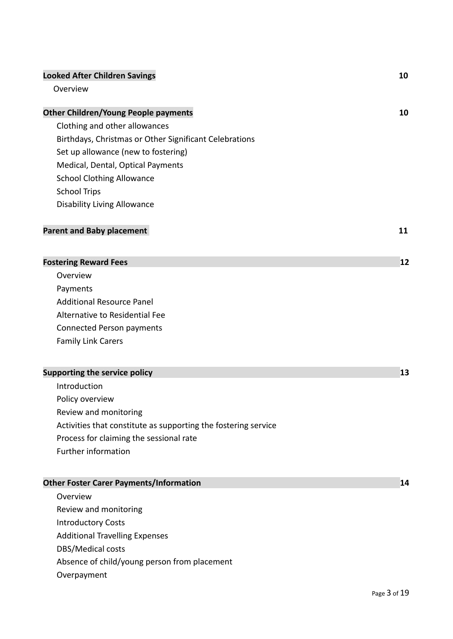## **Looked After Children Savings 10** Overview **Other Children/Young People payments 10** Clothing and other allowances Birthdays, Christmas or Other Significant Celebrations [Set up allowance \(new to fostering\)](#page-15-0) Medical, Dental, Optical Payments School Clothing Allowance School Trips Disability Living Allowance **Parent and Baby placement 11 [Fostering Reward Fees](#page-9-0) 12** [Overview](#page-11-0) [Payments](#page-11-1) Additional Resource Panel Alternative to Residential Fee Connected Person payments Family Link Carers **Supporting the service policy 13** [Introduction](#page-13-0) [Policy overview](#page-13-1) Review and monitoring Activities that constitute as supporting the fostering service [Process for claiming the sessional rate](#page-14-0) [Further information](#page-14-1) **Other Foster Carer Payments/Information 14**

- [Overview](#page-14-2)
- [Review and monitoring](#page-15-1)
- [Introductory Costs](#page-15-2)
- [Additional Travelling Expenses](#page-15-3)
- DBS/Medical costs
- Absence of child/young person from placement
- Overpayment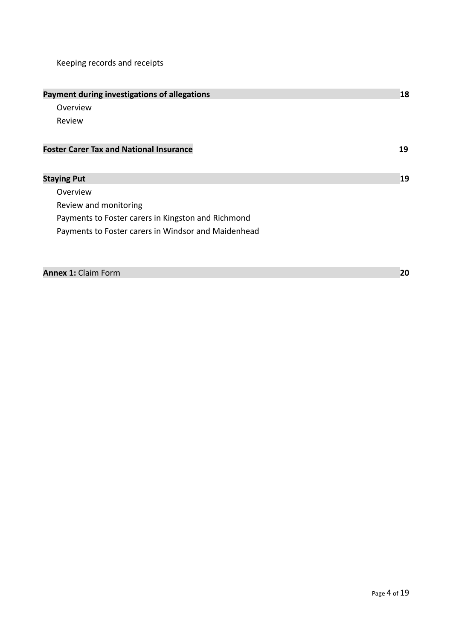Keeping records and receipts

| Payment during investigations of allegations        | 18 |
|-----------------------------------------------------|----|
| Overview                                            |    |
| Review                                              |    |
| <b>Foster Carer Tax and National Insurance</b>      | 19 |
| <b>Staying Put</b>                                  | 19 |
| Overview                                            |    |
| Review and monitoring                               |    |
| Payments to Foster carers in Kingston and Richmond  |    |
| Payments to Foster carers in Windsor and Maidenhead |    |
|                                                     |    |
|                                                     |    |

| <b>Annex 1: Claim Form</b> |  |
|----------------------------|--|
|----------------------------|--|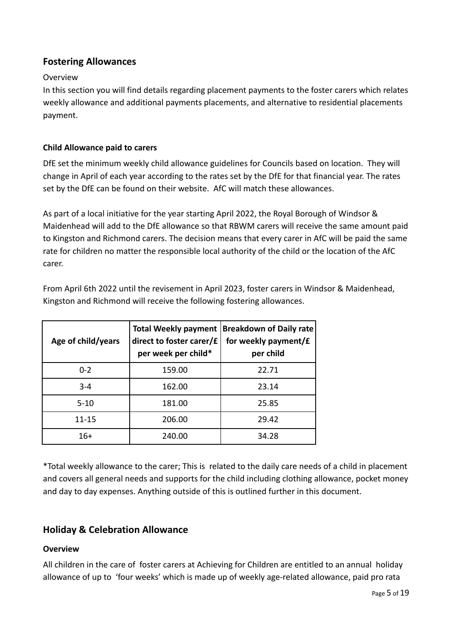## <span id="page-4-0"></span>**Fostering Allowances**

## Overview

In this section you will find details regarding placement payments to the foster carers which relates weekly allowance and additional payments placements, and alternative to residential placements payment.

## <span id="page-4-1"></span>**Child Allowance paid to carers**

DfE set the minimum weekly child allowance guidelines for Councils based on location. They will change in April of each year according to the rates set by the DfE for that financial year. The rates set by the DfE can be found on their website. AfC will match these allowances.

As part of a local initiative for the year starting April 2022, the Royal Borough of Windsor & Maidenhead will add to the DfE allowance so that RBWM carers will receive the same amount paid to Kingston and Richmond carers. The decision means that every carer in AfC will be paid the same rate for children no matter the responsible local authority of the child or the location of the AfC carer.

From April 6th 2022 until the revisement in April 2023, foster carers in Windsor & Maidenhead, Kingston and Richmond will receive the following fostering allowances.

| Age of child/years | <b>Total Weekly payment</b><br>direct to foster carer/£<br>per week per child* | <b>Breakdown of Daily rate</b><br>for weekly payment/£<br>per child |
|--------------------|--------------------------------------------------------------------------------|---------------------------------------------------------------------|
| $0 - 2$            | 159.00                                                                         | 22.71                                                               |
| $3 - 4$            | 162.00                                                                         | 23.14                                                               |
| $5 - 10$           | 181.00                                                                         | 25.85                                                               |
| $11 - 15$          | 206.00                                                                         | 29.42                                                               |
| $16+$              | 240.00                                                                         | 34.28                                                               |

\*Total weekly allowance to the carer; This is related to the daily care needs of a child in placement and covers all general needs and supports for the child including clothing allowance, pocket money and day to day expenses. Anything outside of this is outlined further in this document.

## **Holiday & Celebration Allowance**

## **Overview**

All children in the care of foster carers at Achieving for Children are entitled to an annual holiday allowance of up to 'four weeks' which is made up of weekly age-related allowance, paid pro rata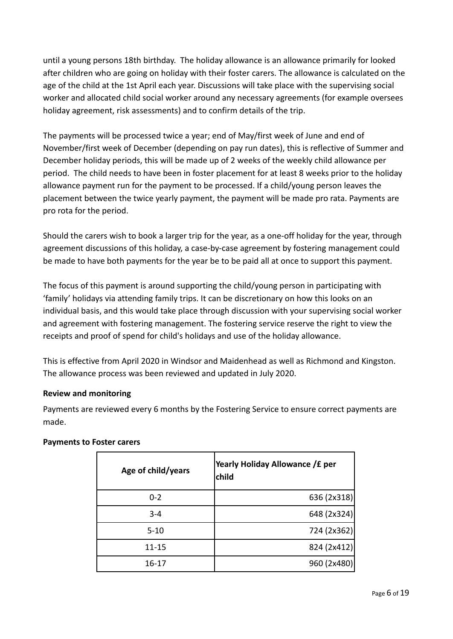until a young persons 18th birthday. The holiday allowance is an allowance primarily for looked after children who are going on holiday with their foster carers. The allowance is calculated on the age of the child at the 1st April each year. Discussions will take place with the supervising social worker and allocated child social worker around any necessary agreements (for example oversees holiday agreement, risk assessments) and to confirm details of the trip.

The payments will be processed twice a year; end of May/first week of June and end of November/first week of December (depending on pay run dates), this is reflective of Summer and December holiday periods, this will be made up of 2 weeks of the weekly child allowance per period. The child needs to have been in foster placement for at least 8 weeks prior to the holiday allowance payment run for the payment to be processed. If a child/young person leaves the placement between the twice yearly payment, the payment will be made pro rata. Payments are pro rota for the period.

Should the carers wish to book a larger trip for the year, as a one-off holiday for the year, through agreement discussions of this holiday, a case-by-case agreement by fostering management could be made to have both payments for the year be to be paid all at once to support this payment.

The focus of this payment is around supporting the child/young person in participating with 'family' holidays via attending family trips. It can be discretionary on how this looks on an individual basis, and this would take place through discussion with your supervising social worker and agreement with fostering management. The fostering service reserve the right to view the receipts and proof of spend for child's holidays and use of the holiday allowance.

This is effective from April 2020 in Windsor and Maidenhead as well as Richmond and Kingston. The allowance process was been reviewed and updated in July 2020.

## **Review and monitoring**

Payments are reviewed every 6 months by the Fostering Service to ensure correct payments are made.

| Age of child/years | Yearly Holiday Allowance / £ per<br>child |
|--------------------|-------------------------------------------|
| $0 - 2$            | 636 (2x318)                               |
| $3 - 4$            | 648 (2x324)                               |
| $5 - 10$           | 724 (2x362)                               |
| 11-15              | 824 (2x412)                               |
| 16-17              | 960 (2x480)                               |

## **Payments to Foster carers**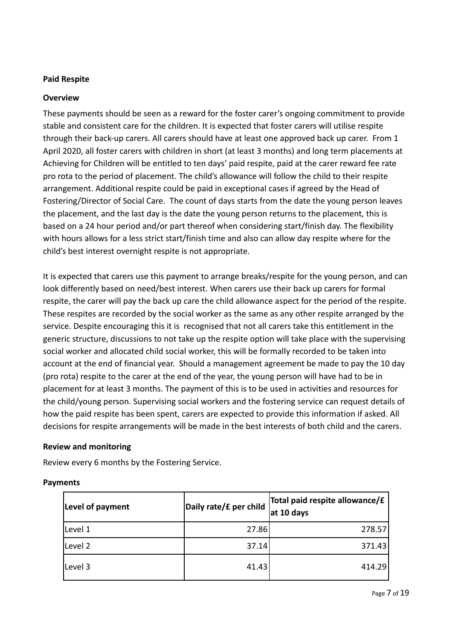## **Paid Respite**

## **Overview**

These payments should be seen as a reward for the foster carer's ongoing commitment to provide stable and consistent care for the children. It is expected that foster carers will utilise respite through their back-up carers. All carers should have at least one approved back up carer. From 1 April 2020, all foster carers with children in short (at least 3 months) and long term placements at Achieving for Children will be entitled to ten days' paid respite, paid at the carer reward fee rate pro rota to the period of placement. The child's allowance will follow the child to their respite arrangement. Additional respite could be paid in exceptional cases if agreed by the Head of Fostering/Director of Social Care. The count of days starts from the date the young person leaves the placement, and the last day is the date the young person returns to the placement, this is based on a 24 hour period and/or part thereof when considering start/finish day. The flexibility with hours allows for a less strict start/finish time and also can allow day respite where for the child's best interest overnight respite is not appropriate.

It is expected that carers use this payment to arrange breaks/respite for the young person, and can look differently based on need/best interest. When carers use their back up carers for formal respite, the carer will pay the back up care the child allowance aspect for the period of the respite. These respites are recorded by the social worker as the same as any other respite arranged by the service. Despite encouraging this it is recognised that not all carers take this entitlement in the generic structure, discussions to not take up the respite option will take place with the supervising social worker and allocated child social worker, this will be formally recorded to be taken into account at the end of financial year. Should a management agreement be made to pay the 10 day (pro rota) respite to the carer at the end of the year, the young person will have had to be in placement for at least 3 months. The payment of this is to be used in activities and resources for the child/young person. Supervising social workers and the fostering service can request details of how the paid respite has been spent, carers are expected to provide this information if asked. All decisions for respite arrangements will be made in the best interests of both child and the carers.

## **Review and monitoring**

Review every 6 months by the Fostering Service.

#### **Payments**

| Level of payment | Daily rate/£ per child | Total paid respite allowance/£<br>at 10 days |
|------------------|------------------------|----------------------------------------------|
| Level 1          | 27.86                  | 278.57                                       |
| Level 2          | 37.14                  | 371.43                                       |
| Level 3          | 41.43                  | 414.29                                       |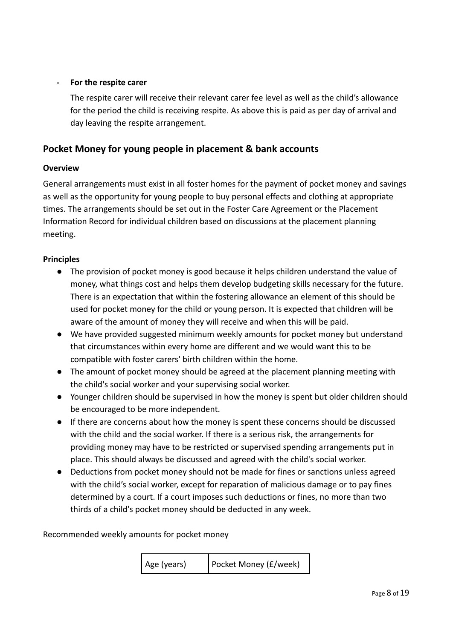## **- For the respite carer**

The respite carer will receive their relevant carer fee level as well as the child's allowance for the period the child is receiving respite. As above this is paid as per day of arrival and day leaving the respite arrangement.

## **Pocket Money for young people in placement & bank accounts**

## **Overview**

General arrangements must exist in all foster homes for the payment of pocket money and savings as well as the opportunity for young people to buy personal effects and clothing at appropriate times. The arrangements should be set out in the Foster Care Agreement or the Placement Information Record for individual children based on discussions at the placement planning meeting.

## **Principles**

- The provision of pocket money is good because it helps children understand the value of money, what things cost and helps them develop budgeting skills necessary for the future. There is an expectation that within the fostering allowance an element of this should be used for pocket money for the child or young person. It is expected that children will be aware of the amount of money they will receive and when this will be paid.
- We have provided suggested minimum weekly amounts for pocket money but understand that circumstances within every home are different and we would want this to be compatible with foster carers' birth children within the home.
- The amount of pocket money should be agreed at the placement planning meeting with the child's social worker and your supervising social worker.
- Younger children should be supervised in how the money is spent but older children should be encouraged to be more independent.
- If there are concerns about how the money is spent these concerns should be discussed with the child and the social worker. If there is a serious risk, the arrangements for providing money may have to be restricted or supervised spending arrangements put in place. This should always be discussed and agreed with the child's social worker.
- Deductions from pocket money should not be made for fines or sanctions unless agreed with the child's social worker, except for reparation of malicious damage or to pay fines determined by a court. If a court imposes such deductions or fines, no more than two thirds of a child's pocket money should be deducted in any week.

Recommended weekly amounts for pocket money

| Age (years) | Pocket Money (£/week) |
|-------------|-----------------------|
|-------------|-----------------------|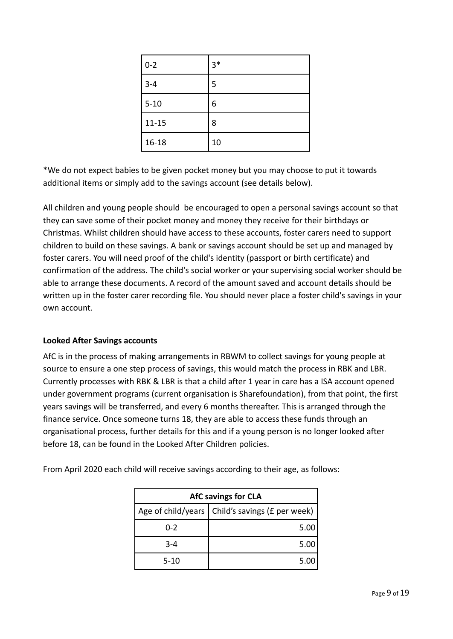| $0 - 2$   | $3*$ |
|-----------|------|
| $3 - 4$   | 5    |
| $5 - 10$  | 6    |
| $11 - 15$ | 8    |
| $16 - 18$ | 10   |

\*We do not expect babies to be given pocket money but you may choose to put it towards additional items or simply add to the savings account (see details below).

All children and young people should be encouraged to open a personal savings account so that they can save some of their pocket money and money they receive for their birthdays or Christmas. Whilst children should have access to these accounts, foster carers need to support children to build on these savings. A bank or savings account should be set up and managed by foster carers. You will need proof of the child's identity (passport or birth certificate) and confirmation of the address. The child's social worker or your supervising social worker should be able to arrange these documents. A record of the amount saved and account details should be written up in the foster carer recording file. You should never place a foster child's savings in your own account.

## **Looked After Savings accounts**

AfC is in the process of making arrangements in RBWM to collect savings for young people at source to ensure a one step process of savings, this would match the process in RBK and LBR. Currently processes with RBK & LBR is that a child after 1 year in care has a ISA account opened under government programs (current organisation is Sharefoundation), from that point, the first years savings will be transferred, and every 6 months thereafter. This is arranged through the finance service. Once someone turns 18, they are able to access these funds through an organisational process, further details for this and if a young person is no longer looked after before 18, can be found in the Looked After Children policies.

| <b>AfC savings for CLA</b> |                                                   |  |
|----------------------------|---------------------------------------------------|--|
|                            | Age of child/years   Child's savings (£ per week) |  |
| $0 - 2$                    | 5.00                                              |  |
| $3 - 4$                    | 5.00                                              |  |
| $5 - 10$                   | 5.00                                              |  |

From April 2020 each child will receive savings according to their age, as follows: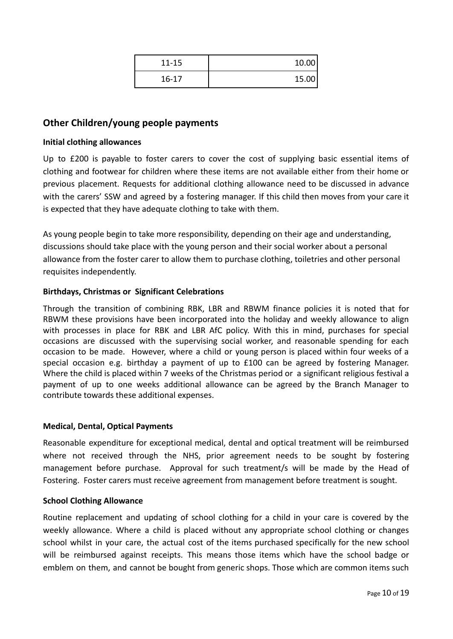| $11 - 15$ | 10.00 |
|-----------|-------|
| $16 - 17$ | 15.00 |

## <span id="page-9-0"></span>**Other Children/young people payments**

#### **Initial clothing allowances**

Up to £200 is payable to foster carers to cover the cost of supplying basic essential items of clothing and footwear for children where these items are not available either from their home or previous placement. Requests for additional clothing allowance need to be discussed in advance with the carers' SSW and agreed by a fostering manager. If this child then moves from your care it is expected that they have adequate clothing to take with them.

As young people begin to take more responsibility, depending on their age and understanding, discussions should take place with the young person and their social worker about a personal allowance from the foster carer to allow them to purchase clothing, toiletries and other personal requisites independently.

## **Birthdays, Christmas or Significant Celebrations**

Through the transition of combining RBK, LBR and RBWM finance policies it is noted that for RBWM these provisions have been incorporated into the holiday and weekly allowance to align with processes in place for RBK and LBR AfC policy. With this in mind, purchases for special occasions are discussed with the supervising social worker, and reasonable spending for each occasion to be made. However, where a child or young person is placed within four weeks of a special occasion e.g. birthday a payment of up to £100 can be agreed by fostering Manager. Where the child is placed within 7 weeks of the Christmas period or a significant religious festival a payment of up to one weeks additional allowance can be agreed by the Branch Manager to contribute towards these additional expenses.

## **Medical, Dental, Optical Payments**

Reasonable expenditure for exceptional medical, dental and optical treatment will be reimbursed where not received through the NHS, prior agreement needs to be sought by fostering management before purchase. Approval for such treatment/s will be made by the Head of Fostering. Foster carers must receive agreement from management before treatment is sought.

#### **School Clothing Allowance**

Routine replacement and updating of school clothing for a child in your care is covered by the weekly allowance. Where a child is placed without any appropriate school clothing or changes school whilst in your care, the actual cost of the items purchased specifically for the new school will be reimbursed against receipts. This means those items which have the school badge or emblem on them, and cannot be bought from generic shops. Those which are common items such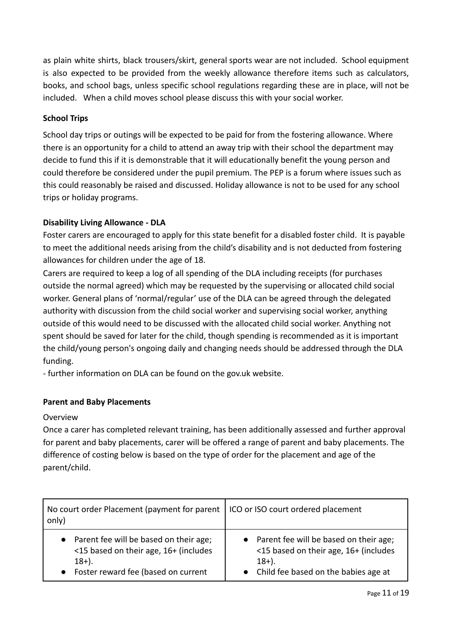as plain white shirts, black trousers/skirt, general sports wear are not included. School equipment is also expected to be provided from the weekly allowance therefore items such as calculators, books, and school bags, unless specific school regulations regarding these are in place, will not be included. When a child moves school please discuss this with your social worker.

## **School Trips**

School day trips or outings will be expected to be paid for from the fostering allowance. Where there is an opportunity for a child to attend an away trip with their school the department may decide to fund this if it is demonstrable that it will educationally benefit the young person and could therefore be considered under the pupil premium. The PEP is a forum where issues such as this could reasonably be raised and discussed. Holiday allowance is not to be used for any school trips or holiday programs.

## **Disability Living Allowance - DLA**

Foster carers are encouraged to apply for this state benefit for a disabled foster child. It is payable to meet the additional needs arising from the child's disability and is not deducted from fostering allowances for children under the age of 18.

Carers are required to keep a log of all spending of the DLA including receipts (for purchases outside the normal agreed) which may be requested by the supervising or allocated child social worker. General plans of 'normal/regular' use of the DLA can be agreed through the delegated authority with discussion from the child social worker and supervising social worker, anything outside of this would need to be discussed with the allocated child social worker. Anything not spent should be saved for later for the child, though spending is recommended as it is important the child/young person's ongoing daily and changing needs should be addressed through the DLA funding.

- further information on DLA can be found on the gov.uk website.

## **Parent and Baby Placements**

## Overview

Once a carer has completed relevant training, has been additionally assessed and further approval for parent and baby placements, carer will be offered a range of parent and baby placements. The difference of costing below is based on the type of order for the placement and age of the parent/child.

| No court order Placement (payment for parent<br>only) | ICO or ISO court ordered placement       |
|-------------------------------------------------------|------------------------------------------|
| Parent fee will be based on their age;                | • Parent fee will be based on their age; |
| <15 based on their age, 16+ (includes                 | <15 based on their age, 16+ (includes    |
| $18+$ ).                                              | $18+$ ).                                 |
| Foster reward fee (based on current                   | • Child fee based on the babies age at   |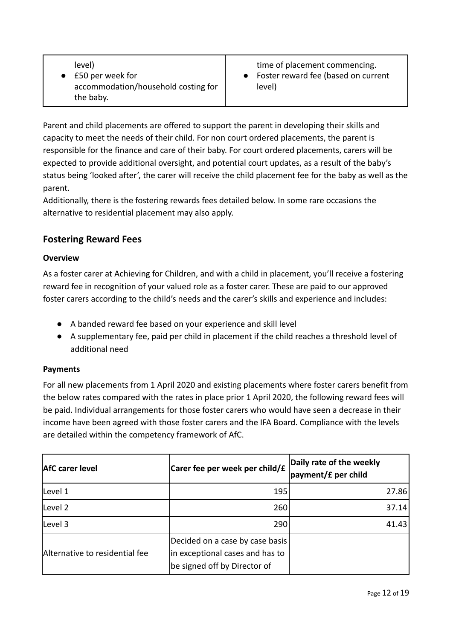Parent and child placements are offered to support the parent in developing their skills and capacity to meet the needs of their child. For non court ordered placements, the parent is responsible for the finance and care of their baby. For court ordered placements, carers will be expected to provide additional oversight, and potential court updates, as a result of the baby's status being 'looked after', the carer will receive the child placement fee for the baby as well as the parent.

Additionally, there is the fostering rewards fees detailed below. In some rare occasions the alternative to residential placement may also apply.

## **Fostering Reward Fees**

## <span id="page-11-0"></span>**Overview**

As a foster carer at Achieving for Children, and with a child in placement, you'll receive a fostering reward fee in recognition of your valued role as a foster carer. These are paid to our approved foster carers according to the child's needs and the carer's skills and experience and includes:

- A banded reward fee based on your experience and skill level
- A supplementary fee, paid per child in placement if the child reaches a threshold level of additional need

## <span id="page-11-1"></span>**Payments**

For all new placements from 1 April 2020 and existing placements where foster carers benefit from the below rates compared with the rates in place prior 1 April 2020, the following reward fees will be paid. Individual arrangements for those foster carers who would have seen a decrease in their income have been agreed with those foster carers and the IFA Board. Compliance with the levels are detailed within the competency framework of AfC.

| <b>AfC</b> carer level         | Carer fee per week per child/£                                                                     | Daily rate of the weekly<br>payment/£ per child |
|--------------------------------|----------------------------------------------------------------------------------------------------|-------------------------------------------------|
| Level 1                        | 195                                                                                                | 27.86                                           |
| Level 2                        | 260                                                                                                | 37.14                                           |
| Level 3                        | 290                                                                                                | 41.43                                           |
| Alternative to residential fee | Decided on a case by case basis<br>in exceptional cases and has to<br>be signed off by Director of |                                                 |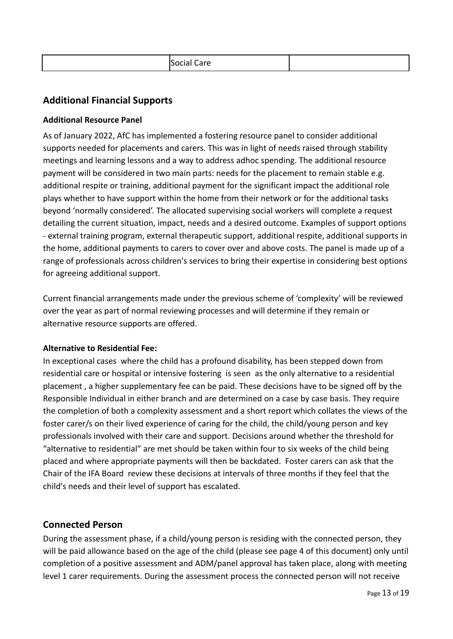| -<br>n. |
|---------|
|---------|

## **Additional Financial Supports**

## **Additional Resource Panel**

As of January 2022, AfC has implemented a fostering resource panel to consider additional supports needed for placements and carers. This was in light of needs raised through stability meetings and learning lessons and a way to address adhoc spending. The additional resource payment will be considered in two main parts: needs for the placement to remain stable e.g. additional respite or training, additional payment for the significant impact the additional role plays whether to have support within the home from their network or for the additional tasks beyond 'normally considered'. The allocated supervising social workers will complete a request detailing the current situation, impact, needs and a desired outcome. Examples of support options - external training program, external therapeutic support, additional respite, additional supports in the home, additional payments to carers to cover over and above costs. The panel is made up of a range of professionals across children's services to bring their expertise in considering best options for agreeing additional support.

Current financial arrangements made under the previous scheme of 'complexity' will be reviewed over the year as part of normal reviewing processes and will determine if they remain or alternative resource supports are offered.

## **Alternative to Residential Fee:**

In exceptional cases where the child has a profound disability, has been stepped down from residential care or hospital or intensive fostering is seen as the only alternative to a residential placement , a higher supplementary fee can be paid. These decisions have to be signed off by the Responsible Individual in either branch and are determined on a case by case basis. They require the completion of both a complexity assessment and a short report which collates the views of the foster carer/s on their lived experience of caring for the child, the child/young person and key professionals involved with their care and support. Decisions around whether the threshold for "alternative to residential" are met should be taken within four to six weeks of the child being placed and where appropriate payments will then be backdated. Foster carers can ask that the Chair of the IFA Board review these decisions at intervals of three months if they feel that the child's needs and their level of support has escalated.

## **Connected Person**

During the assessment phase, if a child/young person is residing with the connected person, they will be paid allowance based on the age of the child (please see page 4 of this document) only until completion of a positive assessment and ADM/panel approval has taken place, along with meeting level 1 carer requirements. During the assessment process the connected person will not receive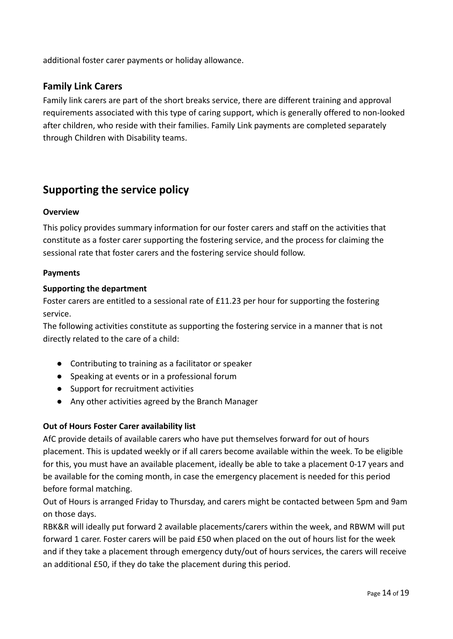additional foster carer payments or holiday allowance.

## **Family Link Carers**

Family link carers are part of the short breaks service, there are different training and approval requirements associated with this type of caring support, which is generally offered to non-looked after children, who reside with their families. Family Link payments are completed separately through Children with Disability teams.

## **Supporting the service policy**

## <span id="page-13-0"></span>**Overview**

This policy provides summary information for our foster carers and staff on the activities that constitute as a foster carer supporting the fostering service, and the process for claiming the sessional rate that foster carers and the fostering service should follow.

#### <span id="page-13-1"></span>**Payments**

#### **Supporting the department**

Foster carers are entitled to a sessional rate of £11.23 per hour for supporting the fostering service.

The following activities constitute as supporting the fostering service in a manner that is not directly related to the care of a child:

- Contributing to training as a facilitator or speaker
- Speaking at events or in a professional forum
- Support for recruitment activities
- Any other activities agreed by the Branch Manager

## **Out of Hours Foster Carer availability list**

AfC provide details of available carers who have put themselves forward for out of hours placement. This is updated weekly or if all carers become available within the week. To be eligible for this, you must have an available placement, ideally be able to take a placement 0-17 years and be available for the coming month, in case the emergency placement is needed for this period before formal matching.

Out of Hours is arranged Friday to Thursday, and carers might be contacted between 5pm and 9am on those days.

RBK&R will ideally put forward 2 available placements/carers within the week, and RBWM will put forward 1 carer. Foster carers will be paid £50 when placed on the out of hours list for the week and if they take a placement through emergency duty/out of hours services, the carers will receive an additional £50, if they do take the placement during this period.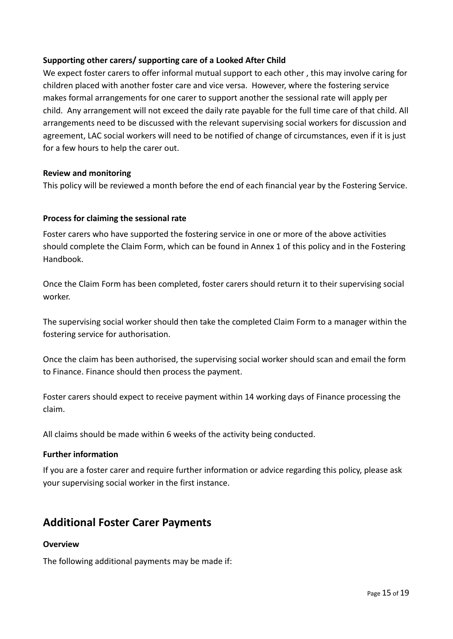## **Supporting other carers/ supporting care of a Looked After Child**

We expect foster carers to offer informal mutual support to each other , this may involve caring for children placed with another foster care and vice versa. However, where the fostering service makes formal arrangements for one carer to support another the sessional rate will apply per child. Any arrangement will not exceed the daily rate payable for the full time care of that child. All arrangements need to be discussed with the relevant supervising social workers for discussion and agreement, LAC social workers will need to be notified of change of circumstances, even if it is just for a few hours to help the carer out.

## **Review and monitoring**

This policy will be reviewed a month before the end of each financial year by the Fostering Service.

## <span id="page-14-0"></span>**Process for claiming the sessional rate**

Foster carers who have supported the fostering service in one or more of the above activities should complete the Claim Form, which can be found in Annex 1 of this policy and in the Fostering Handbook.

Once the Claim Form has been completed, foster carers should return it to their supervising social worker.

The supervising social worker should then take the completed Claim Form to a manager within the fostering service for authorisation.

Once the claim has been authorised, the supervising social worker should scan and email the form to Finance. Finance should then process the payment.

Foster carers should expect to receive payment within 14 working days of Finance processing the claim.

All claims should be made within 6 weeks of the activity being conducted.

## <span id="page-14-1"></span>**Further information**

If you are a foster carer and require further information or advice regarding this policy, please ask your supervising social worker in the first instance.

## **Additional Foster Carer Payments**

## <span id="page-14-2"></span>**Overview**

The following additional payments may be made if: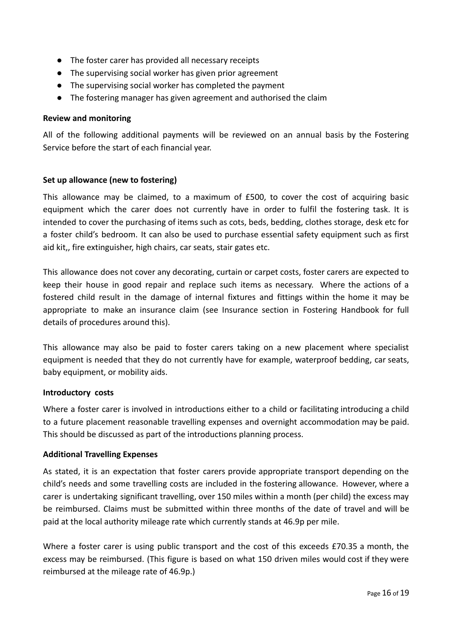- The foster carer has provided all necessary receipts
- The supervising social worker has given prior agreement
- The supervising social worker has completed the payment
- The fostering manager has given agreement and authorised the claim

#### <span id="page-15-1"></span>**Review and monitoring**

All of the following additional payments will be reviewed on an annual basis by the Fostering Service before the start of each financial year.

#### <span id="page-15-0"></span>**Set up allowance (new to fostering)**

This allowance may be claimed, to a maximum of £500, to cover the cost of acquiring basic equipment which the carer does not currently have in order to fulfil the fostering task. It is intended to cover the purchasing of items such as cots, beds, bedding, clothes storage, desk etc for a foster child's bedroom. It can also be used to purchase essential safety equipment such as first aid kit,, fire extinguisher, high chairs, car seats, stair gates etc.

This allowance does not cover any decorating, curtain or carpet costs, foster carers are expected to keep their house in good repair and replace such items as necessary. Where the actions of a fostered child result in the damage of internal fixtures and fittings within the home it may be appropriate to make an insurance claim (see Insurance section in Fostering Handbook for full details of procedures around this).

This allowance may also be paid to foster carers taking on a new placement where specialist equipment is needed that they do not currently have for example, waterproof bedding, car seats, baby equipment, or mobility aids.

#### <span id="page-15-2"></span>**Introductory costs**

Where a foster carer is involved in introductions either to a child or facilitating introducing a child to a future placement reasonable travelling expenses and overnight accommodation may be paid. This should be discussed as part of the introductions planning process.

## <span id="page-15-3"></span>**Additional Travelling Expenses**

As stated, it is an expectation that foster carers provide appropriate transport depending on the child's needs and some travelling costs are included in the fostering allowance. However, where a carer is undertaking significant travelling, over 150 miles within a month (per child) the excess may be reimbursed. Claims must be submitted within three months of the date of travel and will be paid at the local authority mileage rate which currently stands at 46.9p per mile.

Where a foster carer is using public transport and the cost of this exceeds £70.35 a month, the excess may be reimbursed. (This figure is based on what 150 driven miles would cost if they were reimbursed at the mileage rate of 46.9p.)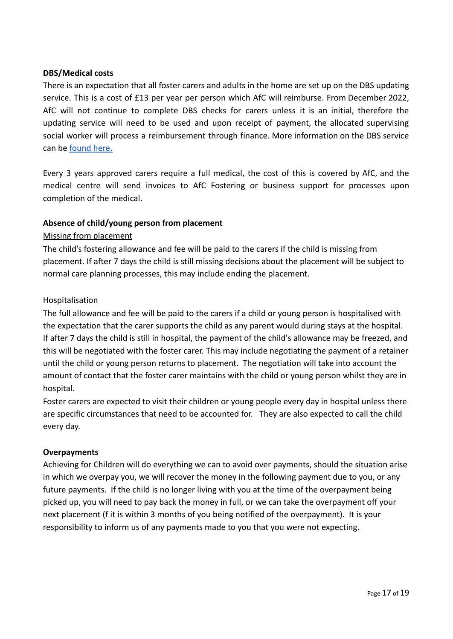## **DBS/Medical costs**

There is an expectation that all foster carers and adults in the home are set up on the DBS updating service. This is a cost of £13 per year per person which AfC will reimburse. From December 2022, AfC will not continue to complete DBS checks for carers unless it is an initial, therefore the updating service will need to be used and upon receipt of payment, the allocated supervising social worker will process a reimbursement through finance. More information on the DBS service can be [found here.](https://www.gov.uk/dbs-update-service)

Every 3 years approved carers require a full medical, the cost of this is covered by AfC, and the medical centre will send invoices to AfC Fostering or business support for processes upon completion of the medical.

## **Absence of child/young person from placement**

## Missing from placement

The child's fostering allowance and fee will be paid to the carers if the child is missing from placement. If after 7 days the child is still missing decisions about the placement will be subject to normal care planning processes, this may include ending the placement.

## **Hospitalisation**

The full allowance and fee will be paid to the carers if a child or young person is hospitalised with the expectation that the carer supports the child as any parent would during stays at the hospital. If after 7 days the child is still in hospital, the payment of the child's allowance may be freezed, and this will be negotiated with the foster carer. This may include negotiating the payment of a retainer until the child or young person returns to placement. The negotiation will take into account the amount of contact that the foster carer maintains with the child or young person whilst they are in hospital.

Foster carers are expected to visit their children or young people every day in hospital unless there are specific circumstances that need to be accounted for. They are also expected to call the child every day.

## **Overpayments**

Achieving for Children will do everything we can to avoid over payments, should the situation arise in which we overpay you, we will recover the money in the following payment due to you, or any future payments. If the child is no longer living with you at the time of the overpayment being picked up, you will need to pay back the money in full, or we can take the overpayment off your next placement (f it is within 3 months of you being notified of the overpayment). It is your responsibility to inform us of any payments made to you that you were not expecting.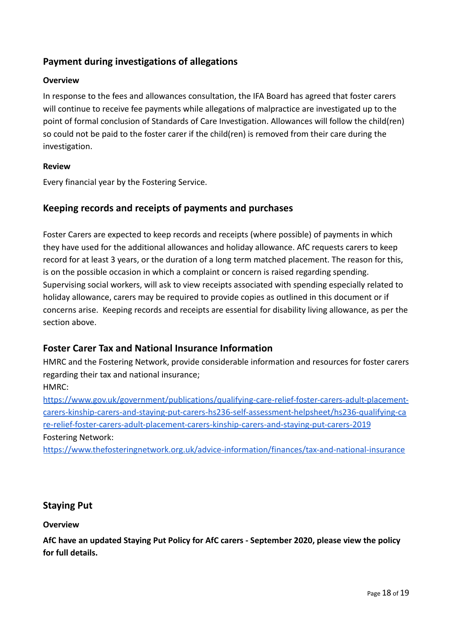## **Payment during investigations of allegations**

## **Overview**

In response to the fees and allowances consultation, the IFA Board has agreed that foster carers will continue to receive fee payments while allegations of malpractice are investigated up to the point of formal conclusion of Standards of Care Investigation. Allowances will follow the child(ren) so could not be paid to the foster carer if the child(ren) is removed from their care during the investigation.

## **Review**

Every financial year by the Fostering Service.

## **Keeping records and receipts of payments and purchases**

Foster Carers are expected to keep records and receipts (where possible) of payments in which they have used for the additional allowances and holiday allowance. AfC requests carers to keep record for at least 3 years, or the duration of a long term matched placement. The reason for this, is on the possible occasion in which a complaint or concern is raised regarding spending. Supervising social workers, will ask to view receipts associated with spending especially related to holiday allowance, carers may be required to provide copies as outlined in this document or if concerns arise. Keeping records and receipts are essential for disability living allowance, as per the section above.

## **Foster Carer Tax and National Insurance Information**

HMRC and the Fostering Network, provide considerable information and resources for foster carers regarding their tax and national insurance;

HMRC:

[https://www.gov.uk/government/publications/qualifying-care-relief-foster-carers-adult-placement](https://www.gov.uk/government/publications/qualifying-care-relief-foster-carers-adult-placement-carers-kinship-carers-and-staying-put-carers-hs236-self-assessment-helpsheet/hs236-qualifying-care-relief-foster-carers-adult-placement-carers-kinship-carers-and-staying-put-carers-2019)[carers-kinship-carers-and-staying-put-carers-hs236-self-assessment-helpsheet/hs236-qualifying-ca](https://www.gov.uk/government/publications/qualifying-care-relief-foster-carers-adult-placement-carers-kinship-carers-and-staying-put-carers-hs236-self-assessment-helpsheet/hs236-qualifying-care-relief-foster-carers-adult-placement-carers-kinship-carers-and-staying-put-carers-2019) [re-relief-foster-carers-adult-placement-carers-kinship-carers-and-staying-put-carers-2019](https://www.gov.uk/government/publications/qualifying-care-relief-foster-carers-adult-placement-carers-kinship-carers-and-staying-put-carers-hs236-self-assessment-helpsheet/hs236-qualifying-care-relief-foster-carers-adult-placement-carers-kinship-carers-and-staying-put-carers-2019) Fostering Network:

<https://www.thefosteringnetwork.org.uk/advice-information/finances/tax-and-national-insurance>

## **Staying Put**

## **Overview**

**AfC have an updated Staying Put Policy for AfC carers - September 2020, please view the policy for full details.**